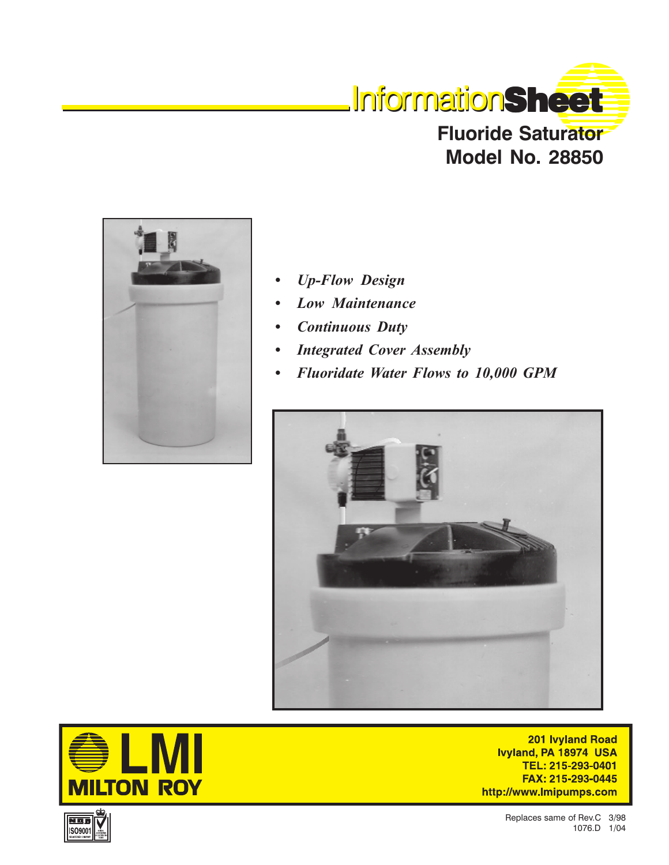



- *Up-Flow Design*
- *Low Maintenance*
- *Continuous Duty*
- *Integrated Cover Assembly*
- *Fluoridate Water Flows to 10,000 GPM*





201 Ivyland Road Ivyland, PA 18974 USA TEL: 215-293-0401 FAX: 215-293-0445 http://www.lmipumps.com

> Replaces same of Rev.C 3/98 1076.D 1/04

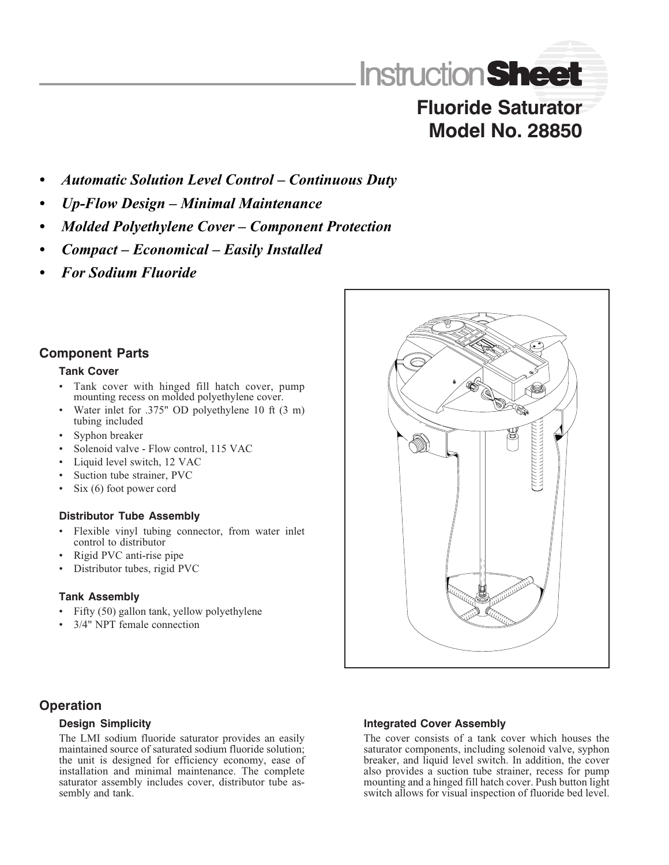

# **Fluoride Saturator Model No. 28850**

- *Automatic Solution Level Control Continuous Duty*
- *Up-Flow Design Minimal Maintenance*
- *Molded Polyethylene Cover Component Protection*
- *Compact Economical Easily Installed*
- *For Sodium Fluoride*

# **Component Parts**

### **Tank Cover**

- Tank cover with hinged fill hatch cover, pump mounting recess on molded polyethylene cover.
- Water inlet for .375" OD polyethylene 10 ft (3 m) tubing included
- Syphon breaker
- Solenoid valve Flow control, 115 VAC
- Liquid level switch, 12 VAC
- Suction tube strainer, PVC
- Six (6) foot power cord

## **Distributor Tube Assembly**

- Flexible vinyl tubing connector, from water inlet control to distributor
- Rigid PVC anti-rise pipe
- Distributor tubes, rigid PVC

#### **Tank Assembly**

- Fifty (50) gallon tank, yellow polyethylene
- 3/4" NPT female connection



# **Operation**

## **Design Simplicity**

The LMI sodium fluoride saturator provides an easily maintained source of saturated sodium fluoride solution; the unit is designed for efficiency economy, ease of installation and minimal maintenance. The complete saturator assembly includes cover, distributor tube assembly and tank.

## **Integrated Cover Assembly**

The cover consists of a tank cover which houses the saturator components, including solenoid valve, syphon breaker, and liquid level switch. In addition, the cover also provides a suction tube strainer, recess for pump mounting and a hinged fill hatch cover. Push button light switch allows for visual inspection of fluoride bed level.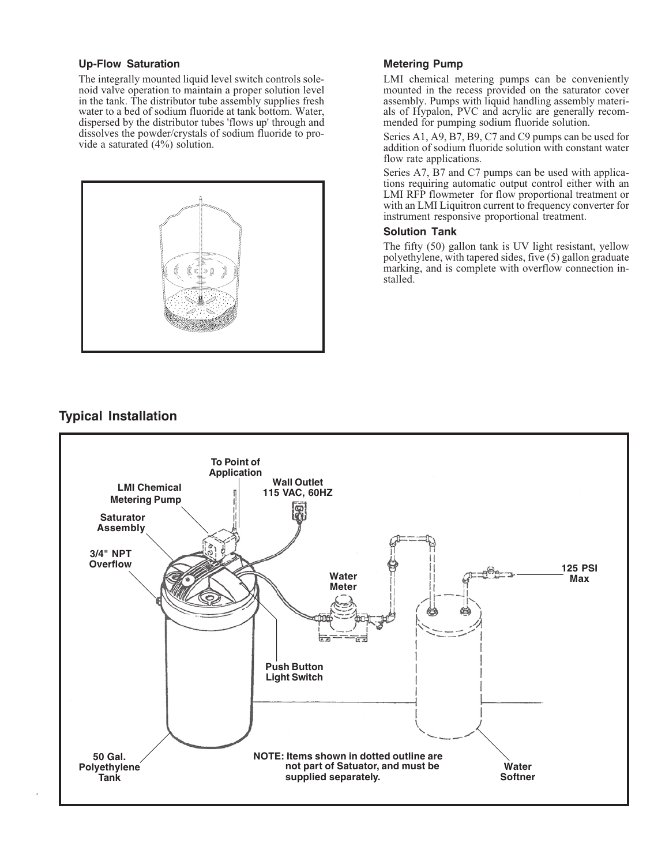#### **Up-Flow Saturation**

The integrally mounted liquid level switch controls solenoid valve operation to maintain a proper solution level in the tank. The distributor tube assembly supplies fresh water to a bed of sodium fluoride at tank bottom. Water, dispersed by the distributor tubes 'flows up' through and dissolves the powder/crystals of sodium fluoride to provide a saturated (4%) solution.



#### **Metering Pump**

LMI chemical metering pumps can be conveniently mounted in the recess provided on the saturator cover assembly. Pumps with liquid handling assembly materials of Hypalon, PVC and acrylic are generally recommended for pumping sodium fluoride solution.

Series A1, A9, B7, B9, C7 and C9 pumps can be used for addition of sodium fluoride solution with constant water flow rate applications.

Series A7, B7 and C7 pumps can be used with applications requiring automatic output control either with an LMI RFP flowmeter for flow proportional treatment or with an LMI Liquitron current to frequency converter for instrument responsive proportional treatment.

#### **Solution Tank**

The fifty (50) gallon tank is UV light resistant, yellow polyethylene, with tapered sides, five (5) gallon graduate marking, and is complete with overflow connection installed.

# **Typical Installation**